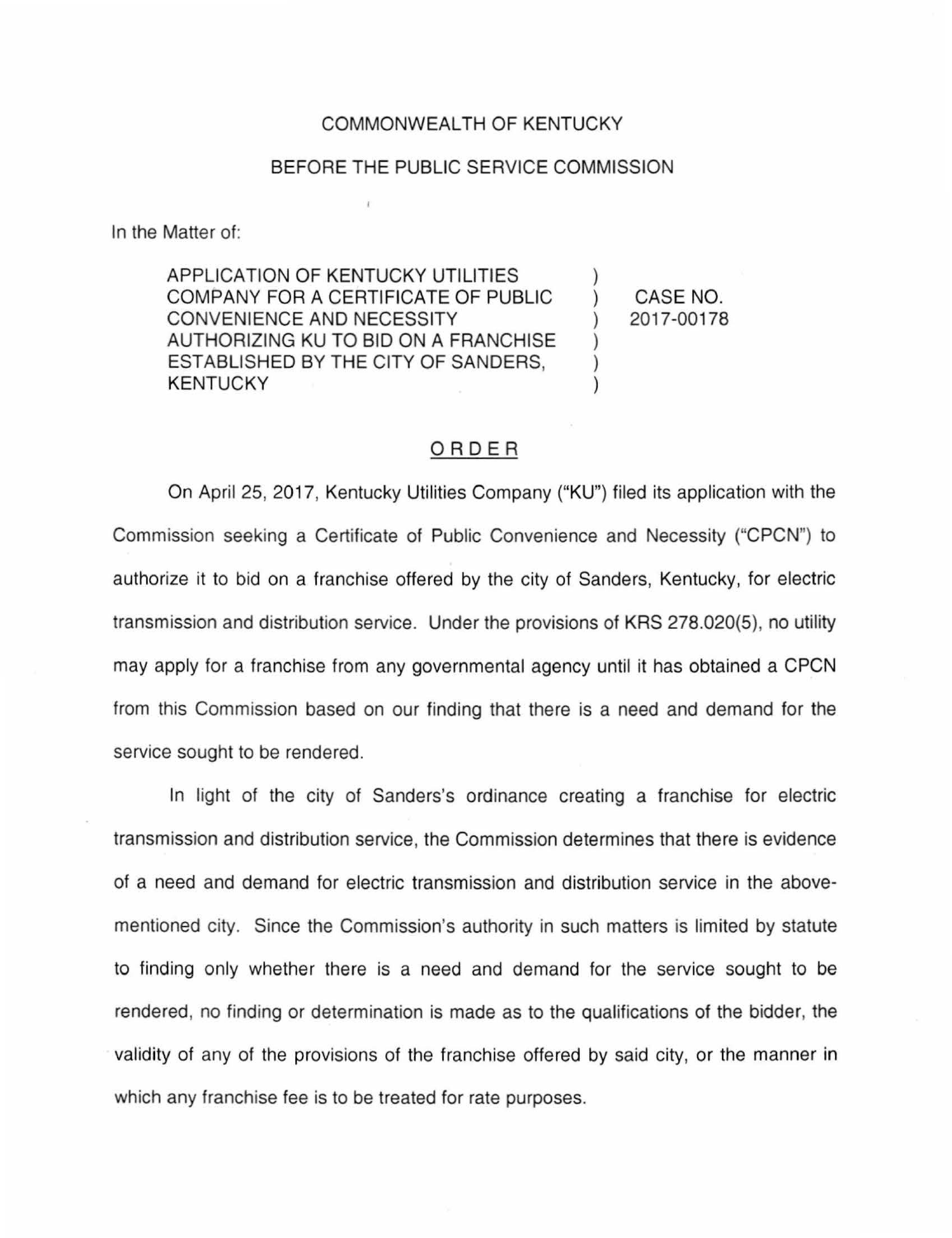## COMMONWEALTH OF KENTUCKY

## BEFORE THE PUBLIC SERVICE COMMISSION

In the Matter of:

APPLICATION OF KENTUCKY UTILITIES COMPANY FOR A CERTIFICATE OF PUBLIC CONVENIENCE AND NECESSITY AUTHORIZING KU TO BID ON A FRANCHISE ESTABLISHED BY THE CITY OF SANDERS, KENTUCKY

) CASE NO. ) 2017-00178

)

) ) )

## ORDER

On April 25, 2017, Kentucky Utilities Company ("KU") filed its application with the Commission seeking a Certificate of Public Convenience and Necessity ("CPCN") to authorize it to bid on a franchise offered by the city of Sanders, Kentucky, for electric transmission and distribution service. Under the provisions of KRS 278.020(5), no utility may apply for a franchise from any governmental agency until it has obtained a CPCN from this Commission based on our finding that there is a need and demand for the service sought to be rendered.

In light of the city of Sanders's ordinance creating a franchise for electric transmission and distribution service, the Commission determines that there is evidence of a need and demand for electric transmission and distribution service in the abovementioned city. Since the Commission's authority in such matters is limited by statute to finding only whether there is a need and demand for the service sought to be rendered, no finding or determination is made as to the qualifications of the bidder, the validity of any of the provisions of the franchise offered by said city, or the manner in which any franchise fee is to be treated for rate purposes.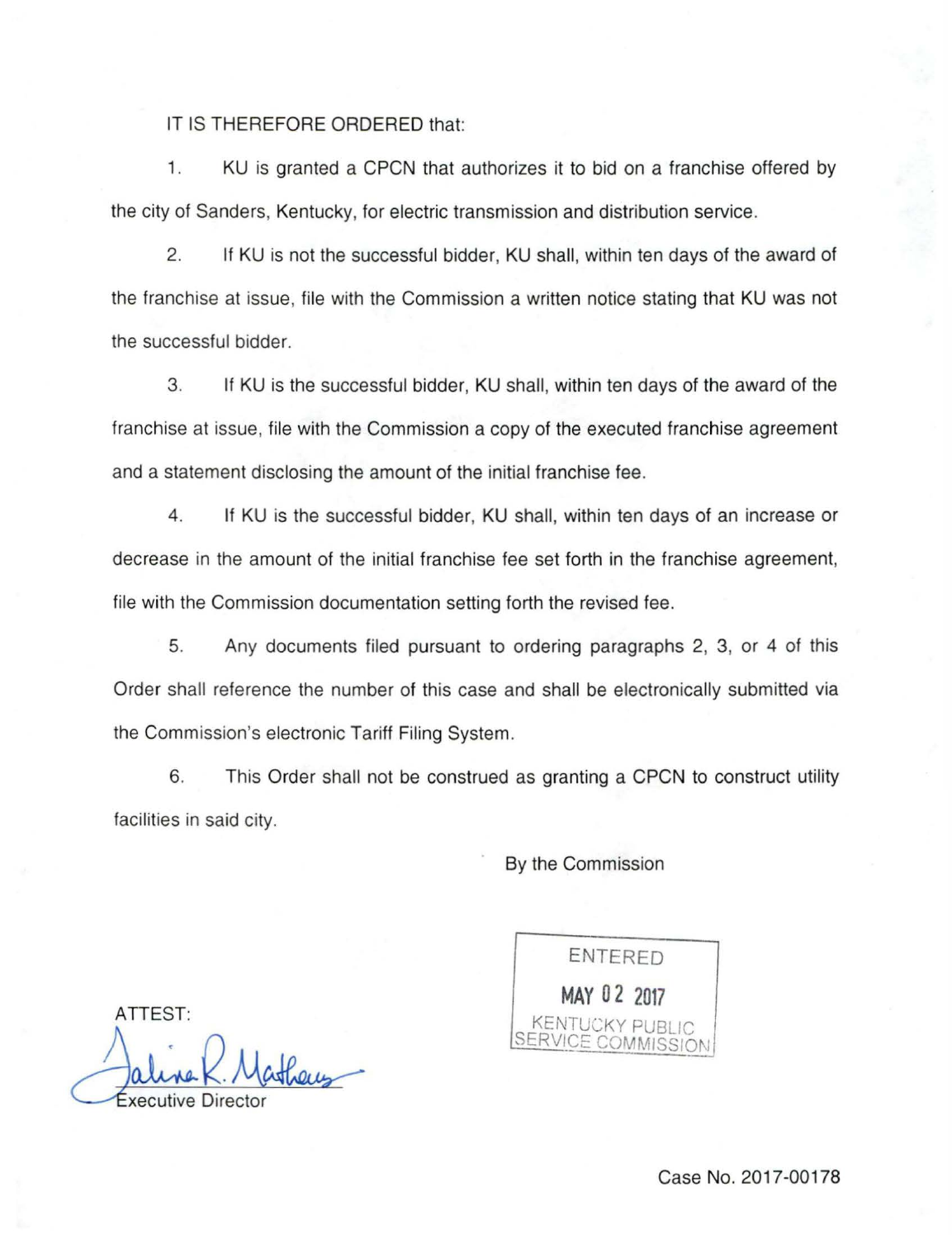IT IS THEREFORE ORDERED that:

1. KU is granted a CPCN that authorizes it to bid on a franchise offered by the city of Sanders, Kentucky, for electric transmission and distribution service.

2. If KU is not the successful bidder, KU shall, within ten days of the award of the franchise at issue, file with the Commission a written notice stating that KU was not the successful bidder.

3. If KU is the successful bidder, KU shall, within ten days of the award of the franchise at issue, file with the Commission a copy of the executed franchise agreement and a statement disclosing the amount of the initial franchise fee .

4. If KU is the successful bidder, KU shall, within ten days of an increase or decrease in the amount of the initial franchise fee set forth in the franchise agreement, file with the Commission documentation setting forth the revised fee .

5. Any documents filed pursuant to ordering paragraphs 2, 3, or 4 of this Order shall reference the number of this case and shall be electronically submitted via the Commission's electronic Tariff Filing System.

6. This Order shall not be construed as granting a CPCN to construct utility facilities in said city.

By the Commission

ENTERED **MAY 0 2 2017**  KENTUCKY PUBLIC SERVICE COMMISSION

ATTEST:

aline R. Matheus